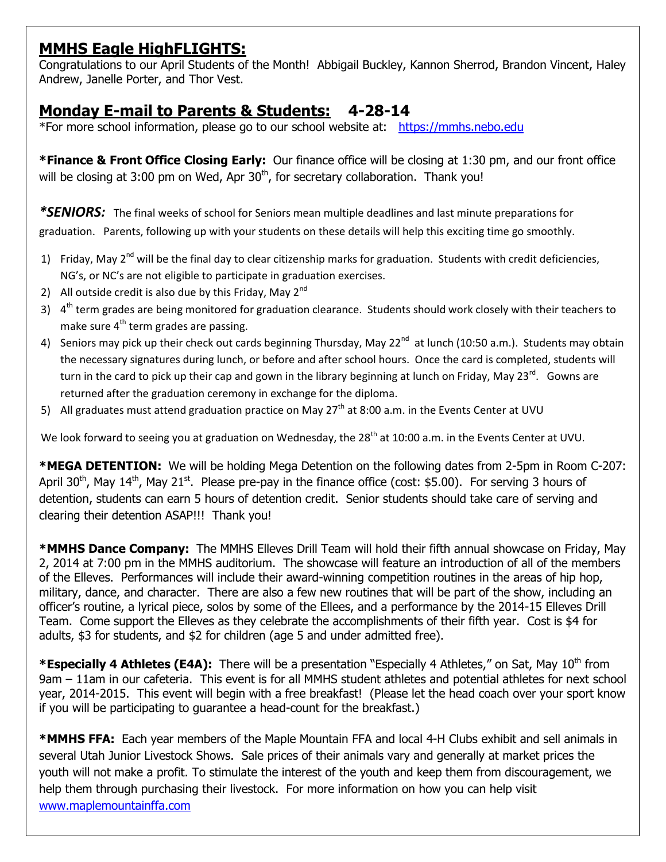## **MMHS Eagle HighFLIGHTS:**

Congratulations to our April Students of the Month! Abbigail Buckley, Kannon Sherrod, Brandon Vincent, Haley Andrew, Janelle Porter, and Thor Vest.

## **Monday E-mail to Parents & Students: 4-28-14**

\*For more school information, please go to our school website at: [https://mmhs.nebo.edu](https://mmhs.nebo.edu/)

**\*Finance & Front Office Closing Early:** Our finance office will be closing at 1:30 pm, and our front office will be closing at 3:00 pm on Wed, Apr  $30<sup>th</sup>$ , for secretary collaboration. Thank you!

*\*SENIORS:* The final weeks of school for Seniors mean multiple deadlines and last minute preparations for graduation. Parents, following up with your students on these details will help this exciting time go smoothly.

- 1) Friday, May  $2^{nd}$  will be the final day to clear citizenship marks for graduation. Students with credit deficiencies, NG's, or NC's are not eligible to participate in graduation exercises.
- 2) All outside credit is also due by this Friday, May  $2^{nd}$
- 3) 4<sup>th</sup> term grades are being monitored for graduation clearance. Students should work closely with their teachers to make sure  $4^{th}$  term grades are passing.
- 4) Seniors may pick up their check out cards beginning Thursday, May 22<sup>nd</sup> at lunch (10:50 a.m.). Students may obtain the necessary signatures during lunch, or before and after school hours. Once the card is completed, students will turn in the card to pick up their cap and gown in the library beginning at lunch on Friday, May 23<sup>rd</sup>. Gowns are returned after the graduation ceremony in exchange for the diploma.
- 5) All graduates must attend graduation practice on May  $27<sup>th</sup>$  at 8:00 a.m. in the Events Center at UVU

We look forward to seeing you at graduation on Wednesday, the 28<sup>th</sup> at 10:00 a.m. in the Events Center at UVU.

**\*MEGA DETENTION:** We will be holding Mega Detention on the following dates from 2-5pm in Room C-207: April 30<sup>th</sup>, May 14<sup>th</sup>, May 21<sup>st</sup>. Please pre-pay in the finance office (cost: \$5.00). For serving 3 hours of detention, students can earn 5 hours of detention credit. Senior students should take care of serving and clearing their detention ASAP!!! Thank you!

**\*MMHS Dance Company:** The MMHS Elleves Drill Team will hold their fifth annual showcase on Friday, May 2, 2014 at 7:00 pm in the MMHS auditorium. The showcase will feature an introduction of all of the members of the Elleves. Performances will include their award-winning competition routines in the areas of hip hop, military, dance, and character. There are also a few new routines that will be part of the show, including an officer's routine, a lyrical piece, solos by some of the Ellees, and a performance by the 2014-15 Elleves Drill Team. Come support the Elleves as they celebrate the accomplishments of their fifth year. Cost is \$4 for adults, \$3 for students, and \$2 for children (age 5 and under admitted free).

\***Especially 4 Athletes (E4A):** There will be a presentation "Especially 4 Athletes," on Sat, May 10<sup>th</sup> from 9am – 11am in our cafeteria. This event is for all MMHS student athletes and potential athletes for next school year, 2014-2015. This event will begin with a free breakfast! (Please let the head coach over your sport know if you will be participating to guarantee a head-count for the breakfast.)

**\*MMHS FFA:** Each year members of the Maple Mountain FFA and local 4-H Clubs exhibit and sell animals in several Utah Junior Livestock Shows. Sale prices of their animals vary and generally at market prices the youth will not make a profit. To stimulate the interest of the youth and keep them from discouragement, we help them through purchasing their livestock. For more information on how you can help visit [www.maplemountainffa.com](http://www.maplemountainffa.com/)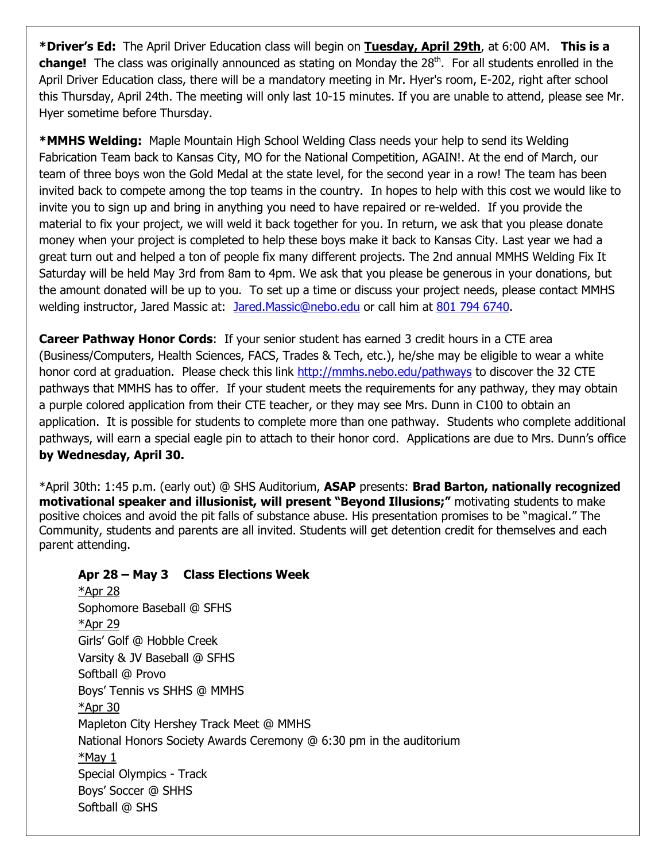**\*Driver's Ed:** The April Driver Education class will begin on **Tuesday, April 29th**, at 6:00 AM. **This is a**  change! The class was originally announced as stating on Monday the 28<sup>th</sup>. For all students enrolled in the April Driver Education class, there will be a mandatory meeting in Mr. Hyer's room, E-202, right after school this Thursday, April 24th. The meeting will only last 10-15 minutes. If you are unable to attend, please see Mr. Hyer sometime before Thursday.

**\*MMHS Welding:** Maple Mountain High School Welding Class needs your help to send its Welding Fabrication Team back to Kansas City, MO for the National Competition, AGAIN!. At the end of March, our team of three boys won the Gold Medal at the state level, for the second year in a row! The team has been invited back to compete among the top teams in the country. In hopes to help with this cost we would like to invite you to sign up and bring in anything you need to have repaired or re-welded. If you provide the material to fix your project, we will weld it back together for you. In return, we ask that you please donate money when your project is completed to help these boys make it back to Kansas City. Last year we had a great turn out and helped a ton of people fix many different projects. The 2nd annual MMHS Welding Fix It Saturday will be held May 3rd from 8am to 4pm. We ask that you please be generous in your donations, but the amount donated will be up to you. To set up a time or discuss your project needs, please contact MMHS welding instructor, Jared Massic at: [Jared.Massic@nebo.edu](mailto:Jared.Massic@nebo.edu) or call him at [801 794 6740.](tel:801%20794%206740)

**Career Pathway Honor Cords**: If your senior student has earned 3 credit hours in a CTE area (Business/Computers, Health Sciences, FACS, Trades & Tech, etc.), he/she may be eligible to wear a white honor cord at graduation. Please check this link<http://mmhs.nebo.edu/pathways> to discover the 32 CTE pathways that MMHS has to offer. If your student meets the requirements for any pathway, they may obtain a purple colored application from their CTE teacher, or they may see Mrs. Dunn in C100 to obtain an application. It is possible for students to complete more than one pathway. Students who complete additional pathways, will earn a special eagle pin to attach to their honor cord. Applications are due to Mrs. Dunn's office **by Wednesday, April 30.**

\*April 30th: 1:45 p.m. (early out) @ SHS Auditorium, **ASAP** presents: **Brad Barton, nationally recognized motivational speaker and illusionist, will present "Beyond Illusions;"** motivating students to make positive choices and avoid the pit falls of substance abuse. His presentation promises to be "magical." The Community, students and parents are all invited. Students will get detention credit for themselves and each parent attending.

## **Apr 28 – May 3 Class Elections Week**

\*Apr 28 Sophomore Baseball @ SFHS \*Apr 29 Girls' Golf @ Hobble Creek Varsity & JV Baseball @ SFHS Softball @ Provo Boys' Tennis vs SHHS @ MMHS \*Apr 30 Mapleton City Hershey Track Meet @ MMHS National Honors Society Awards Ceremony @ 6:30 pm in the auditorium \*May 1 Special Olympics - Track Boys' Soccer @ SHHS Softball @ SHS